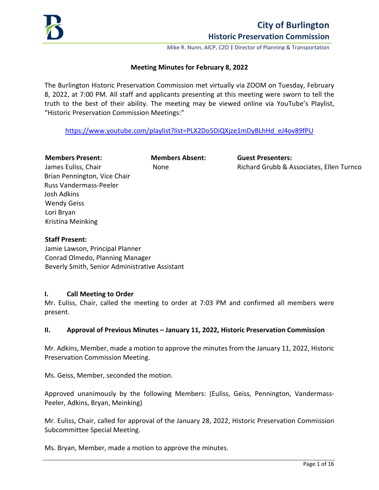

# **City of Burlington Historic Preservation Commission**

Mike R. Nunn, AICP, CZO **|** Director of Planning & Transportation

### **Meeting Minutes for February 8, 2022**

The Burlington Historic Preservation Commission met virtually via ZOOM on Tuesday, February 8, 2022, at 7:00 PM. All staff and applicants presenting at this meeting were sworn to tell the truth to the best of their ability. The meeting may be viewed online via YouTube's Playlist, "Historic Preservation Commission Meetings:"

[https://www.youtube.com/playlist?list=PLX2Do5DiQXjze1mDyBLhHd\\_eJ4ov89fPU](https://www.youtube.com/playlist?list=PLX2Do5DiQXjze1mDyBLhHd_eJ4ov89fPU) 

#### **Members Present: Members Absent: Guest Presenters:**

James Euliss, Chair **None** None **Richard Grubb & Associates, Ellen Turnco** Richard Grubb & Associates, Ellen Turnco

Brian Pennington, Vice Chair Russ Vandermass-Peeler Josh Adkins Wendy Geiss Lori Bryan Kristina Meinking

### **Staff Present:**

Jamie Lawson, Principal Planner Conrad Olmedo, Planning Manager Beverly Smith, Senior Administrative Assistant

### **I. Call Meeting to Order**

Mr. Euliss, Chair, called the meeting to order at 7:03 PM and confirmed all members were present.

# **II. Approval of Previous Minutes – January 11, 2022, Historic Preservation Commission**

Mr. Adkins, Member, made a motion to approve the minutes from the January 11, 2022, Historic Preservation Commission Meeting.

Ms. Geiss, Member, seconded the motion.

Approved unanimously by the following Members: (Euliss, Geiss, Pennington, Vandermass-Peeler, Adkins, Bryan, Meinking)

Mr. Euliss, Chair, called for approval of the January 28, 2022, Historic Preservation Commission Subcommittee Special Meeting.

Ms. Bryan, Member, made a motion to approve the minutes.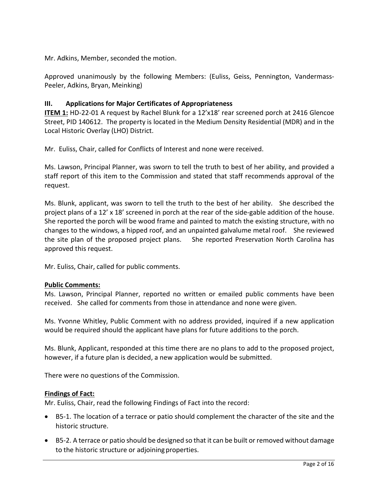Mr. Adkins, Member, seconded the motion.

Approved unanimously by the following Members: (Euliss, Geiss, Pennington, Vandermass-Peeler, Adkins, Bryan, Meinking)

# **III. Applications for Major Certificates of Appropriateness**

**ITEM 1:** HD-22-01 A request by Rachel Blunk for a 12'x18' rear screened porch at 2416 Glencoe Street, PID 140612. The property is located in the Medium Density Residential (MDR) and in the Local Historic Overlay (LHO) District.

Mr. Euliss, Chair, called for Conflicts of Interest and none were received.

Ms. Lawson, Principal Planner, was sworn to tell the truth to best of her ability, and provided a staff report of this item to the Commission and stated that staff recommends approval of the request.

Ms. Blunk, applicant, was sworn to tell the truth to the best of her ability. She described the project plans of a 12' x 18' screened in porch at the rear of the side-gable addition of the house. She reported the porch will be wood frame and painted to match the existing structure, with no changes to the windows, a hipped roof, and an unpainted galvalume metal roof. She reviewed the site plan of the proposed project plans. She reported Preservation North Carolina has approved this request.

Mr. Euliss, Chair, called for public comments.

# **Public Comments:**

Ms. Lawson, Principal Planner, reported no written or emailed public comments have been received. She called for comments from those in attendance and none were given.

Ms. Yvonne Whitley, Public Comment with no address provided, inquired if a new application would be required should the applicant have plans for future additions to the porch.

Ms. Blunk, Applicant, responded at this time there are no plans to add to the proposed project, however, if a future plan is decided, a new application would be submitted.

There were no questions of the Commission.

# **Findings of Fact:**

Mr. Euliss, Chair, read the following Findings of Fact into the record:

- B5-1. The location of a terrace or patio should complement the character of the site and the historic structure.
- B5-2. A terrace or patio should be designed so that it can be built or removed without damage to the historic structure or adjoiningproperties.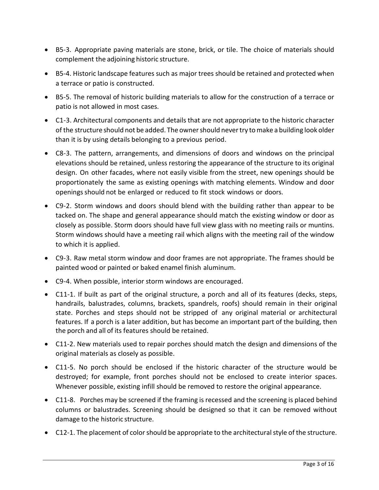- B5-3. Appropriate paving materials are stone, brick, or tile. The choice of materials should complement the adjoining historic structure.
- B5-4. Historic landscape features such as major trees should be retained and protected when a terrace or patio is constructed.
- B5-5. The removal of historic building materials to allow for the construction of a terrace or patio is not allowed in most cases.
- C1-3. Architectural components and details that are not appropriate to the historic character of the structure should not be added. The ownershould nevertry tomake a building look older than it is by using details belonging to a previous period.
- C8-3. The pattern, arrangements, and dimensions of doors and windows on the principal elevations should be retained, unless restoring the appearance of the structure to its original design. On other facades, where not easily visible from the street, new openings should be proportionately the same as existing openings with matching elements. Window and door openings should not be enlarged or reduced to fit stock windows or doors.
- C9-2. Storm windows and doors should blend with the building rather than appear to be tacked on. The shape and general appearance should match the existing window or door as closely as possible. Storm doors should have full view glass with no meeting rails or muntins. Storm windows should have a meeting rail which aligns with the meeting rail of the window to which it is applied.
- C9-3. Raw metal storm window and door frames are not appropriate. The frames should be painted wood or painted or baked enamel finish aluminum.
- C9-4. When possible, interior storm windows are encouraged.
- C11-1. If built as part of the original structure, a porch and all of its features (decks, steps, handrails, balustrades, columns, brackets, spandrels, roofs) should remain in their original state. Porches and steps should not be stripped of any original material or architectural features. If a porch is a later addition, but has become an important part of the building, then the porch and all of its features should be retained.
- C11-2. New materials used to repair porches should match the design and dimensions of the original materials as closely as possible.
- C11-5. No porch should be enclosed if the historic character of the structure would be destroyed; for example, front porches should not be enclosed to create interior spaces. Whenever possible, existing infill should be removed to restore the original appearance.
- C11-8. Porches may be screened if the framing is recessed and the screening is placed behind columns or balustrades. Screening should be designed so that it can be removed without damage to the historic structure.
- C12-1. The placement of color should be appropriate to the architectural style of the structure.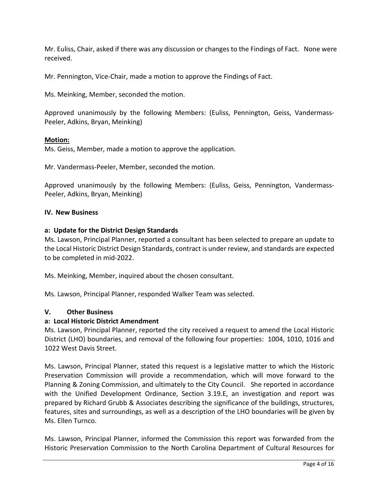Mr. Euliss, Chair, asked if there was any discussion or changes to the Findings of Fact. None were received.

Mr. Pennington, Vice-Chair, made a motion to approve the Findings of Fact.

Ms. Meinking, Member, seconded the motion.

Approved unanimously by the following Members: (Euliss, Pennington, Geiss, Vandermass-Peeler, Adkins, Bryan, Meinking)

### **Motion:**

Ms. Geiss, Member, made a motion to approve the application.

Mr. Vandermass-Peeler, Member, seconded the motion.

Approved unanimously by the following Members: (Euliss, Geiss, Pennington, Vandermass-Peeler, Adkins, Bryan, Meinking)

### **IV. New Business**

### **a: Update for the District Design Standards**

Ms. Lawson, Principal Planner, reported a consultant has been selected to prepare an update to the Local Historic District Design Standards, contract is under review, and standards are expected to be completed in mid-2022.

Ms. Meinking, Member, inquired about the chosen consultant.

Ms. Lawson, Principal Planner, responded Walker Team was selected.

### **V. Other Business**

### **a: Local Historic District Amendment**

Ms. Lawson, Principal Planner, reported the city received a request to amend the Local Historic District (LHO) boundaries, and removal of the following four properties: 1004, 1010, 1016 and 1022 West Davis Street.

Ms. Lawson, Principal Planner, stated this request is a legislative matter to which the Historic Preservation Commission will provide a recommendation, which will move forward to the Planning & Zoning Commission, and ultimately to the City Council. She reported in accordance with the Unified Development Ordinance, Section 3.19.E, an investigation and report was prepared by Richard Grubb & Associates describing the significance of the buildings, structures, features, sites and surroundings, as well as a description of the LHO boundaries will be given by Ms. Ellen Turnco.

Ms. Lawson, Principal Planner, informed the Commission this report was forwarded from the Historic Preservation Commission to the North Carolina Department of Cultural Resources for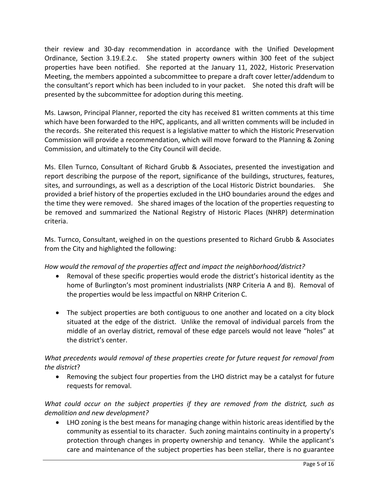their review and 30-day recommendation in accordance with the Unified Development Ordinance, Section 3.19.E.2.c. She stated property owners within 300 feet of the subject properties have been notified. She reported at the January 11, 2022, Historic Preservation Meeting, the members appointed a subcommittee to prepare a draft cover letter/addendum to the consultant's report which has been included to in your packet. She noted this draft will be presented by the subcommittee for adoption during this meeting.

Ms. Lawson, Principal Planner, reported the city has received 81 written comments at this time which have been forwarded to the HPC, applicants, and all written comments will be included in the records. She reiterated this request is a legislative matter to which the Historic Preservation Commission will provide a recommendation, which will move forward to the Planning & Zoning Commission, and ultimately to the City Council will decide.

Ms. Ellen Turnco, Consultant of Richard Grubb & Associates, presented the investigation and report describing the purpose of the report, significance of the buildings, structures, features, sites, and surroundings, as well as a description of the Local Historic District boundaries. She provided a brief history of the properties excluded in the LHO boundaries around the edges and the time they were removed. She shared images of the location of the properties requesting to be removed and summarized the National Registry of Historic Places (NHRP) determination criteria.

Ms. Turnco, Consultant, weighed in on the questions presented to Richard Grubb & Associates from the City and highlighted the following:

# *How would the removal of the properties affect and impact the neighborhood/district?*

- Removal of these specific properties would erode the district's historical identity as the home of Burlington's most prominent industrialists (NRP Criteria A and B). Removal of the properties would be less impactful on NRHP Criterion C.
- The subject properties are both contiguous to one another and located on a city block situated at the edge of the district. Unlike the removal of individual parcels from the middle of an overlay district, removal of these edge parcels would not leave "holes" at the district's center.

# *What precedents would removal of these properties create for future request for removal from the district*?

• Removing the subject four properties from the LHO district may be a catalyst for future requests for removal.

*What could occur on the subject properties if they are removed from the district, such as demolition and new development?* 

• LHO zoning is the best means for managing change within historic areas identified by the community as essential to its character. Such zoning maintains continuity in a property's protection through changes in property ownership and tenancy. While the applicant's care and maintenance of the subject properties has been stellar, there is no guarantee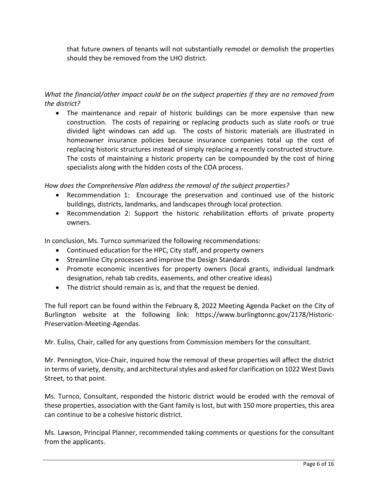that future owners of tenants will not substantially remodel or demolish the properties should they be removed from the LHO district.

# *What the financial/other impact could be on the subject properties if they are no removed from the district?*

• The maintenance and repair of historic buildings can be more expensive than new construction. The costs of repairing or replacing products such as slate roofs or true divided light windows can add up. The costs of historic materials are illustrated in homeowner insurance policies because insurance companies total up the cost of replacing historic structures instead of simply replacing a recently constructed structure. The costs of maintaining a historic property can be compounded by the cost of hiring specialists along with the hidden costs of the COA process.

*How does the Comprehensive Plan address the removal of the subject properties?* 

- Recommendation 1: Encourage the preservation and continued use of the historic buildings, districts, landmarks, and landscapes through local protection.
- Recommendation 2: Support the historic rehabilitation efforts of private property owners.

In conclusion, Ms. Turnco summarized the following recommendations:

- Continued education for the HPC, City staff, and property owners
- Streamline City processes and improve the Design Standards
- Promote economic incentives for property owners (local grants, individual landmark designation, rehab tab credits, easements, and other creative ideas)
- The district should remain as is, and that the request be denied.

The full report can be found within the February 8, 2022 Meeting Agenda Packet on the City of Burlington website at the following link: https://www.burlingtonnc.gov/2178/Historic-Preservation-Meeting-Agendas.

Mr. Euliss, Chair, called for any questions from Commission members for the consultant.

Mr. Pennington, Vice-Chair, inquired how the removal of these properties will affect the district in terms of variety, density, and architectural styles and asked for clarification on 1022 West Davis Street, to that point.

Ms. Turnco, Consultant, responded the historic district would be eroded with the removal of these properties, association with the Gant family is lost, but with 150 more properties, this area can continue to be a cohesive historic district.

Ms. Lawson, Principal Planner, recommended taking comments or questions for the consultant from the applicants.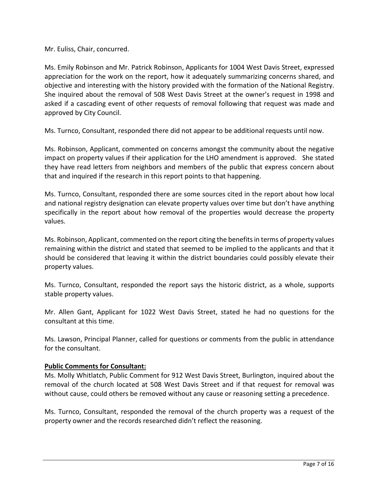Mr. Euliss, Chair, concurred.

Ms. Emily Robinson and Mr. Patrick Robinson, Applicants for 1004 West Davis Street, expressed appreciation for the work on the report, how it adequately summarizing concerns shared, and objective and interesting with the history provided with the formation of the National Registry. She inquired about the removal of 508 West Davis Street at the owner's request in 1998 and asked if a cascading event of other requests of removal following that request was made and approved by City Council.

Ms. Turnco, Consultant, responded there did not appear to be additional requests until now.

Ms. Robinson, Applicant, commented on concerns amongst the community about the negative impact on property values if their application for the LHO amendment is approved. She stated they have read letters from neighbors and members of the public that express concern about that and inquired if the research in this report points to that happening.

Ms. Turnco, Consultant, responded there are some sources cited in the report about how local and national registry designation can elevate property values over time but don't have anything specifically in the report about how removal of the properties would decrease the property values.

Ms. Robinson, Applicant, commented on the report citing the benefits in terms of property values remaining within the district and stated that seemed to be implied to the applicants and that it should be considered that leaving it within the district boundaries could possibly elevate their property values.

Ms. Turnco, Consultant, responded the report says the historic district, as a whole, supports stable property values.

Mr. Allen Gant, Applicant for 1022 West Davis Street, stated he had no questions for the consultant at this time.

Ms. Lawson, Principal Planner, called for questions or comments from the public in attendance for the consultant.

# **Public Comments for Consultant:**

Ms. Molly Whitlatch, Public Comment for 912 West Davis Street, Burlington, inquired about the removal of the church located at 508 West Davis Street and if that request for removal was without cause, could others be removed without any cause or reasoning setting a precedence.

Ms. Turnco, Consultant, responded the removal of the church property was a request of the property owner and the records researched didn't reflect the reasoning.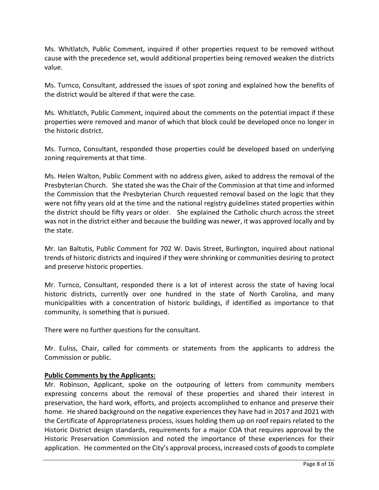Ms. Whitlatch, Public Comment, inquired if other properties request to be removed without cause with the precedence set, would additional properties being removed weaken the districts value.

Ms. Turnco, Consultant, addressed the issues of spot zoning and explained how the benefits of the district would be altered if that were the case.

Ms. Whitlatch, Public Comment, inquired about the comments on the potential impact if these properties were removed and manor of which that block could be developed once no longer in the historic district.

Ms. Turnco, Consultant, responded those properties could be developed based on underlying zoning requirements at that time.

Ms. Helen Walton, Public Comment with no address given, asked to address the removal of the Presbyterian Church. She stated she was the Chair of the Commission at that time and informed the Commission that the Presbyterian Church requested removal based on the logic that they were not fifty years old at the time and the national registry guidelines stated properties within the district should be fifty years or older. She explained the Catholic church across the street was not in the district either and because the building was newer, it was approved locally and by the state.

Mr. Ian Baltutis, Public Comment for 702 W. Davis Street, Burlington, inquired about national trends of historic districts and inquired if they were shrinking or communities desiring to protect and preserve historic properties.

Mr. Turnco, Consultant, responded there is a lot of interest across the state of having local historic districts, currently over one hundred in the state of North Carolina, and many municipalities with a concentration of historic buildings, if identified as importance to that community, is something that is pursued.

There were no further questions for the consultant.

Mr. Euliss, Chair, called for comments or statements from the applicants to address the Commission or public.

# **Public Comments by the Applicants:**

Mr. Robinson, Applicant, spoke on the outpouring of letters from community members expressing concerns about the removal of these properties and shared their interest in preservation, the hard work, efforts, and projects accomplished to enhance and preserve their home. He shared background on the negative experiences they have had in 2017 and 2021 with the Certificate of Appropriateness process, issues holding them up on roof repairs related to the Historic District design standards, requirements for a major COA that requires approval by the Historic Preservation Commission and noted the importance of these experiences for their application. He commented on the City's approval process, increased costs of goods to complete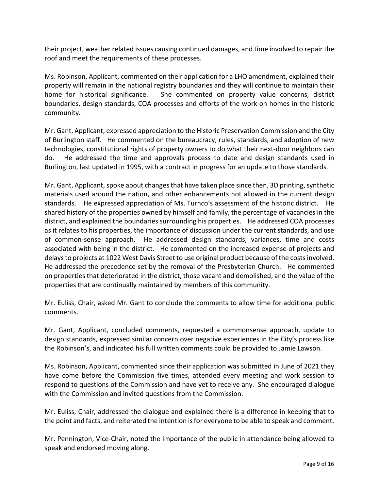their project, weather related issues causing continued damages, and time involved to repair the roof and meet the requirements of these processes.

Ms. Robinson, Applicant, commented on their application for a LHO amendment, explained their property will remain in the national registry boundaries and they will continue to maintain their home for historical significance. She commented on property value concerns, district boundaries, design standards, COA processes and efforts of the work on homes in the historic community.

Mr. Gant, Applicant, expressed appreciation to the Historic Preservation Commission and the City of Burlington staff. He commented on the bureaucracy, rules, standards, and adoption of new technologies, constitutional rights of property owners to do what their next-door neighbors can do. He addressed the time and approvals process to date and design standards used in Burlington, last updated in 1995, with a contract in progress for an update to those standards.

Mr. Gant, Applicant, spoke about changes that have taken place since then, 3D printing, synthetic materials used around the nation, and other enhancements not allowed in the current design standards. He expressed appreciation of Ms. Turnco's assessment of the historic district. He shared history of the properties owned by himself and family, the percentage of vacancies in the district, and explained the boundaries surrounding his properties. He addressed COA processes as it relates to his properties, the importance of discussion under the current standards, and use of common-sense approach. He addressed design standards, variances, time and costs associated with being in the district. He commented on the increased expense of projects and delays to projects at 1022 West Davis Street to use original product because of the costs involved. He addressed the precedence set by the removal of the Presbyterian Church. He commented on properties that deteriorated in the district, those vacant and demolished, and the value of the properties that are continually maintained by members of this community.

Mr. Euliss, Chair, asked Mr. Gant to conclude the comments to allow time for additional public comments.

Mr. Gant, Applicant, concluded comments, requested a commonsense approach, update to design standards, expressed similar concern over negative experiences in the City's process like the Robinson's, and indicated his full written comments could be provided to Jamie Lawson.

Ms. Robinson, Applicant, commented since their application was submitted in June of 2021 they have come before the Commission five times, attended every meeting and work session to respond to questions of the Commission and have yet to receive any. She encouraged dialogue with the Commission and invited questions from the Commission.

Mr. Euliss, Chair, addressed the dialogue and explained there is a difference in keeping that to the point and facts, and reiterated the intention is for everyone to be able to speak and comment.

Mr. Pennington, Vice-Chair, noted the importance of the public in attendance being allowed to speak and endorsed moving along.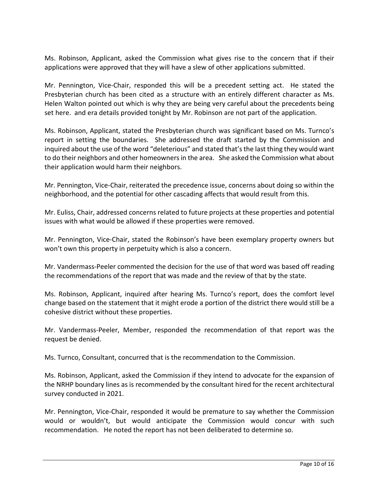Ms. Robinson, Applicant, asked the Commission what gives rise to the concern that if their applications were approved that they will have a slew of other applications submitted.

Mr. Pennington, Vice-Chair, responded this will be a precedent setting act. He stated the Presbyterian church has been cited as a structure with an entirely different character as Ms. Helen Walton pointed out which is why they are being very careful about the precedents being set here. and era details provided tonight by Mr. Robinson are not part of the application.

Ms. Robinson, Applicant, stated the Presbyterian church was significant based on Ms. Turnco's report in setting the boundaries. She addressed the draft started by the Commission and inquired about the use of the word "deleterious" and stated that's the last thing they would want to do their neighbors and other homeowners in the area. She asked the Commission what about their application would harm their neighbors.

Mr. Pennington, Vice-Chair, reiterated the precedence issue, concerns about doing so within the neighborhood, and the potential for other cascading affects that would result from this.

Mr. Euliss, Chair, addressed concerns related to future projects at these properties and potential issues with what would be allowed if these properties were removed.

Mr. Pennington, Vice-Chair, stated the Robinson's have been exemplary property owners but won't own this property in perpetuity which is also a concern.

Mr. Vandermass-Peeler commented the decision for the use of that word was based off reading the recommendations of the report that was made and the review of that by the state.

Ms. Robinson, Applicant, inquired after hearing Ms. Turnco's report, does the comfort level change based on the statement that it might erode a portion of the district there would still be a cohesive district without these properties.

Mr. Vandermass-Peeler, Member, responded the recommendation of that report was the request be denied.

Ms. Turnco, Consultant, concurred that is the recommendation to the Commission.

Ms. Robinson, Applicant, asked the Commission if they intend to advocate for the expansion of the NRHP boundary lines as is recommended by the consultant hired for the recent architectural survey conducted in 2021.

Mr. Pennington, Vice-Chair, responded it would be premature to say whether the Commission would or wouldn't, but would anticipate the Commission would concur with such recommendation. He noted the report has not been deliberated to determine so.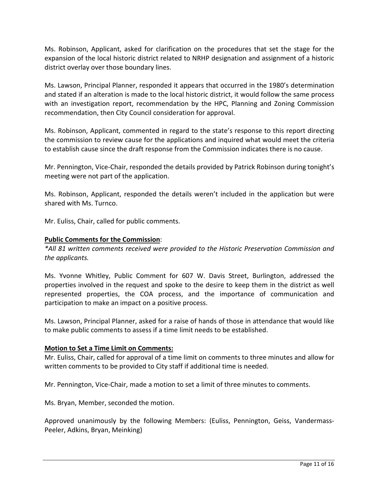Ms. Robinson, Applicant, asked for clarification on the procedures that set the stage for the expansion of the local historic district related to NRHP designation and assignment of a historic district overlay over those boundary lines.

Ms. Lawson, Principal Planner, responded it appears that occurred in the 1980's determination and stated if an alteration is made to the local historic district, it would follow the same process with an investigation report, recommendation by the HPC, Planning and Zoning Commission recommendation, then City Council consideration for approval.

Ms. Robinson, Applicant, commented in regard to the state's response to this report directing the commission to review cause for the applications and inquired what would meet the criteria to establish cause since the draft response from the Commission indicates there is no cause.

Mr. Pennington, Vice-Chair, responded the details provided by Patrick Robinson during tonight's meeting were not part of the application.

Ms. Robinson, Applicant, responded the details weren't included in the application but were shared with Ms. Turnco.

Mr. Euliss, Chair, called for public comments.

# **Public Comments for the Commission**:

*\*All 81 written comments received were provided to the Historic Preservation Commission and the applicants.* 

Ms. Yvonne Whitley, Public Comment for 607 W. Davis Street, Burlington, addressed the properties involved in the request and spoke to the desire to keep them in the district as well represented properties, the COA process, and the importance of communication and participation to make an impact on a positive process.

Ms. Lawson, Principal Planner, asked for a raise of hands of those in attendance that would like to make public comments to assess if a time limit needs to be established.

# **Motion to Set a Time Limit on Comments:**

Mr. Euliss, Chair, called for approval of a time limit on comments to three minutes and allow for written comments to be provided to City staff if additional time is needed.

Mr. Pennington, Vice-Chair, made a motion to set a limit of three minutes to comments.

Ms. Bryan, Member, seconded the motion.

Approved unanimously by the following Members: (Euliss, Pennington, Geiss, Vandermass-Peeler, Adkins, Bryan, Meinking)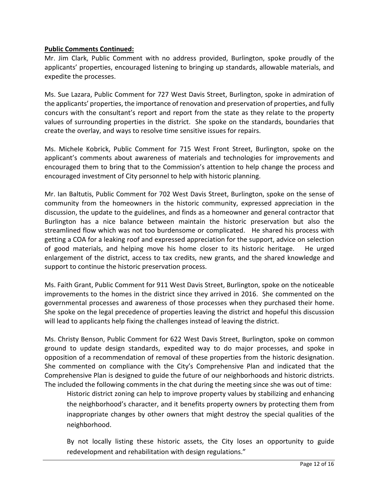# **Public Comments Continued:**

Mr. Jim Clark, Public Comment with no address provided, Burlington, spoke proudly of the applicants' properties, encouraged listening to bringing up standards, allowable materials, and expedite the processes.

Ms. Sue Lazara, Public Comment for 727 West Davis Street, Burlington, spoke in admiration of the applicants' properties, the importance of renovation and preservation of properties, and fully concurs with the consultant's report and report from the state as they relate to the property values of surrounding properties in the district. She spoke on the standards, boundaries that create the overlay, and ways to resolve time sensitive issues for repairs.

Ms. Michele Kobrick, Public Comment for 715 West Front Street, Burlington, spoke on the applicant's comments about awareness of materials and technologies for improvements and encouraged them to bring that to the Commission's attention to help change the process and encouraged investment of City personnel to help with historic planning.

Mr. Ian Baltutis, Public Comment for 702 West Davis Street, Burlington, spoke on the sense of community from the homeowners in the historic community, expressed appreciation in the discussion, the update to the guidelines, and finds as a homeowner and general contractor that Burlington has a nice balance between maintain the historic preservation but also the streamlined flow which was not too burdensome or complicated. He shared his process with getting a COA for a leaking roof and expressed appreciation for the support, advice on selection of good materials, and helping move his home closer to its historic heritage. He urged enlargement of the district, access to tax credits, new grants, and the shared knowledge and support to continue the historic preservation process.

Ms. Faith Grant, Public Comment for 911 West Davis Street, Burlington, spoke on the noticeable improvements to the homes in the district since they arrived in 2016. She commented on the governmental processes and awareness of those processes when they purchased their home. She spoke on the legal precedence of properties leaving the district and hopeful this discussion will lead to applicants help fixing the challenges instead of leaving the district.

Ms. Christy Benson, Public Comment for 622 West Davis Street, Burlington, spoke on common ground to update design standards, expedited way to do major processes, and spoke in opposition of a recommendation of removal of these properties from the historic designation. She commented on compliance with the City's Comprehensive Plan and indicated that the Comprehensive Plan is designed to guide the future of our neighborhoods and historic districts. The included the following comments in the chat during the meeting since she was out of time:

Historic district zoning can help to improve property values by stabilizing and enhancing the neighborhood's character, and it benefits property owners by protecting them from inappropriate changes by other owners that might destroy the special qualities of the neighborhood.

By not locally listing these historic assets, the City loses an opportunity to guide redevelopment and rehabilitation with design regulations."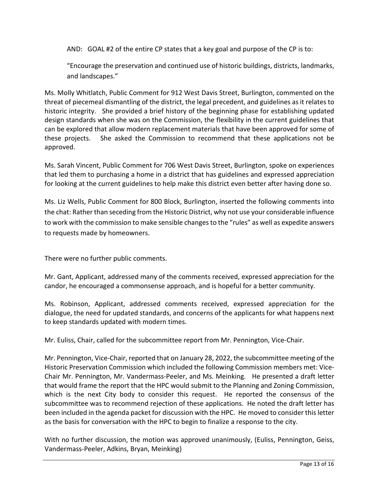AND: GOAL #2 of the entire CP states that a key goal and purpose of the CP is to:

"Encourage the preservation and continued use of historic buildings, districts, landmarks, and landscapes."

Ms. Molly Whitlatch, Public Comment for 912 West Davis Street, Burlington, commented on the threat of piecemeal dismantling of the district, the legal precedent, and guidelines as it relates to historic integrity. She provided a brief history of the beginning phase for establishing updated design standards when she was on the Commission, the flexibility in the current guidelines that can be explored that allow modern replacement materials that have been approved for some of these projects. She asked the Commission to recommend that these applications not be approved.

Ms. Sarah Vincent, Public Comment for 706 West Davis Street, Burlington, spoke on experiences that led them to purchasing a home in a district that has guidelines and expressed appreciation for looking at the current guidelines to help make this district even better after having done so.

Ms. Liz Wells, Public Comment for 800 Block, Burlington, inserted the following comments into the chat: Rather than seceding from the Historic District, why not use your considerable influence to work with the commission to make sensible changes to the "rules" as well as expedite answers to requests made by homeowners.

There were no further public comments.

Mr. Gant, Applicant, addressed many of the comments received, expressed appreciation for the candor, he encouraged a commonsense approach, and is hopeful for a better community.

Ms. Robinson, Applicant, addressed comments received, expressed appreciation for the dialogue, the need for updated standards, and concerns of the applicants for what happens next to keep standards updated with modern times.

Mr. Euliss, Chair, called for the subcommittee report from Mr. Pennington, Vice-Chair.

Mr. Pennington, Vice-Chair, reported that on January 28, 2022, the subcommittee meeting of the Historic Preservation Commission which included the following Commission members met: Vice-Chair Mr. Pennington, Mr. Vandermass-Peeler, and Ms. Meinking. He presented a draft letter that would frame the report that the HPC would submit to the Planning and Zoning Commission, which is the next City body to consider this request. He reported the consensus of the subcommittee was to recommend rejection of these applications. He noted the draft letter has been included in the agenda packet for discussion with the HPC. He moved to consider this letter as the basis for conversation with the HPC to begin to finalize a response to the city.

With no further discussion, the motion was approved unanimously, (Euliss, Pennington, Geiss, Vandermass-Peeler, Adkins, Bryan, Meinking)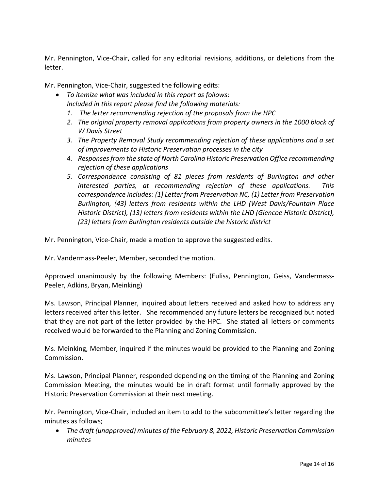Mr. Pennington, Vice-Chair, called for any editorial revisions, additions, or deletions from the letter.

Mr. Pennington, Vice-Chair, suggested the following edits:

- *To itemize what was included in this report as follows*: *Included in this report please find the following materials:* 
	- *1. The letter recommending rejection of the proposals from the HPC*
	- *2. The original property removal applications from property owners in the 1000 block of W Davis Street*
	- *3. The Property Removal Study recommending rejection of these applications and a set of improvements to Historic Preservation processes in the city*
	- *4. Responsesfrom the state of North Carolina Historic Preservation Office recommending rejection of these applications*
	- *5. Correspondence consisting of 81 pieces from residents of Burlington and other interested parties, at recommending rejection of these applications. This correspondence includes: (1) Letter from Preservation NC, (1) Letter from Preservation Burlington, (43) letters from residents within the LHD (West Davis/Fountain Place Historic District), (13) letters from residents within the LHD (Glencoe Historic District), (23) letters from Burlington residents outside the historic district*

Mr. Pennington, Vice-Chair, made a motion to approve the suggested edits.

Mr. Vandermass-Peeler, Member, seconded the motion.

Approved unanimously by the following Members: (Euliss, Pennington, Geiss, Vandermass-Peeler, Adkins, Bryan, Meinking)

Ms. Lawson, Principal Planner, inquired about letters received and asked how to address any letters received after this letter. She recommended any future letters be recognized but noted that they are not part of the letter provided by the HPC. She stated all letters or comments received would be forwarded to the Planning and Zoning Commission.

Ms. Meinking, Member, inquired if the minutes would be provided to the Planning and Zoning Commission.

Ms. Lawson, Principal Planner, responded depending on the timing of the Planning and Zoning Commission Meeting, the minutes would be in draft format until formally approved by the Historic Preservation Commission at their next meeting.

Mr. Pennington, Vice-Chair, included an item to add to the subcommittee's letter regarding the minutes as follows;

• *The draft (unapproved) minutes of the February 8, 2022, Historic Preservation Commission minutes*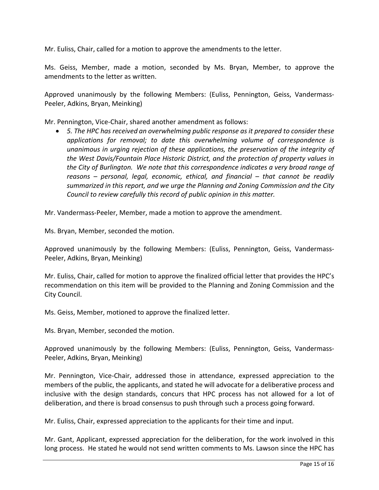Mr. Euliss, Chair, called for a motion to approve the amendments to the letter.

Ms. Geiss, Member, made a motion, seconded by Ms. Bryan, Member, to approve the amendments to the letter as written.

Approved unanimously by the following Members: (Euliss, Pennington, Geiss, Vandermass-Peeler, Adkins, Bryan, Meinking)

Mr. Pennington, Vice-Chair, shared another amendment as follows:

• *5. The HPC has received an overwhelming public response as it prepared to consider these applications for removal; to date this overwhelming volume of correspondence is unanimous in urging rejection of these applications, the preservation of the integrity of the West Davis/Fountain Place Historic District, and the protection of property values in the City of Burlington. We note that this correspondence indicates a very broad range of reasons – personal, legal, economic, ethical, and financial – that cannot be readily summarized in this report, and we urge the Planning and Zoning Commission and the City Council to review carefully this record of public opinion in this matter.* 

Mr. Vandermass-Peeler, Member, made a motion to approve the amendment.

Ms. Bryan, Member, seconded the motion.

Approved unanimously by the following Members: (Euliss, Pennington, Geiss, Vandermass-Peeler, Adkins, Bryan, Meinking)

Mr. Euliss, Chair, called for motion to approve the finalized official letter that provides the HPC's recommendation on this item will be provided to the Planning and Zoning Commission and the City Council.

Ms. Geiss, Member, motioned to approve the finalized letter.

Ms. Bryan, Member, seconded the motion.

Approved unanimously by the following Members: (Euliss, Pennington, Geiss, Vandermass-Peeler, Adkins, Bryan, Meinking)

Mr. Pennington, Vice-Chair, addressed those in attendance, expressed appreciation to the members of the public, the applicants, and stated he will advocate for a deliberative process and inclusive with the design standards, concurs that HPC process has not allowed for a lot of deliberation, and there is broad consensus to push through such a process going forward.

Mr. Euliss, Chair, expressed appreciation to the applicants for their time and input.

Mr. Gant, Applicant, expressed appreciation for the deliberation, for the work involved in this long process. He stated he would not send written comments to Ms. Lawson since the HPC has